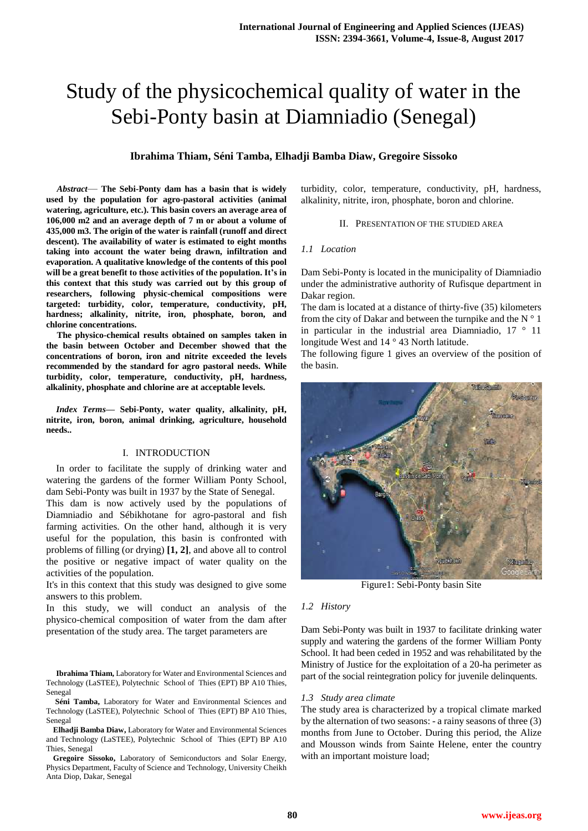# Study of the physicochemical quality of water in the Sebi-Ponty basin at Diamniadio (Senegal)

# **Ibrahima Thiam, Séni Tamba, Elhadji Bamba Diaw, Gregoire Sissoko**

*Abstract*— **The Sebi-Ponty dam has a basin that is widely used by the population for agro-pastoral activities (animal watering, agriculture, etc.). This basin covers an average area of 106,000 m2 and an average depth of 7 m or about a volume of 435,000 m3. The origin of the water is rainfall (runoff and direct descent). The availability of water is estimated to eight months taking into account the water being drawn, infiltration and evaporation. A qualitative knowledge of the contents of this pool will be a great benefit to those activities of the population. It's in this context that this study was carried out by this group of researchers, following physic-chemical compositions were targeted: turbidity, color, temperature, conductivity, pH, hardness; alkalinity, nitrite, iron, phosphate, boron, and chlorine concentrations.**

**The physico-chemical results obtained on samples taken in the basin between October and December showed that the concentrations of boron, iron and nitrite exceeded the levels recommended by the standard for agro pastoral needs. While turbidity, color, temperature, conductivity, pH, hardness, alkalinity, phosphate and chlorine are at acceptable levels.**

*Index Terms***— Sebi-Ponty, water quality, alkalinity, pH, nitrite, iron, boron, animal drinking, agriculture, household needs..** 

## I. INTRODUCTION

In order to facilitate the supply of drinking water and watering the gardens of the former William Ponty School, dam Sebi-Ponty was built in 1937 by the State of Senegal.

This dam is now actively used by the populations of Diamniadio and Sébikhotane for agro-pastoral and fish farming activities. On the other hand, although it is very useful for the population, this basin is confronted with problems of filling (or drying) **[1, 2]**, and above all to control the positive or negative impact of water quality on the activities of the population.

It's in this context that this study was designed to give some answers to this problem.

In this study, we will conduct an analysis of the physico-chemical composition of water from the dam after presentation of the study area. The target parameters are

**Ibrahima Thiam,** Laboratory for Water and Environmental Sciences and Technology (LaSTEE), Polytechnic School of Thies (EPT) BP A10 Thies, Senegal

**Séni Tamba,** Laboratory for Water and Environmental Sciences and Technology (LaSTEE), Polytechnic School of Thies (EPT) BP A10 Thies, Senegal

**Elhadji Bamba Diaw,** Laboratory for Water and Environmental Sciences and Technology (LaSTEE), Polytechnic School of Thies (EPT) BP A10 Thies, Senegal

**Gregoire Sissoko,** Laboratory of Semiconductors and Solar Energy, Physics Department, Faculty of Science and Technology, University Cheikh Anta Diop, Dakar, Senegal

turbidity, color, temperature, conductivity, pH, hardness, alkalinity, nitrite, iron, phosphate, boron and chlorine.

#### II. PRESENTATION OF THE STUDIED AREA

#### *1.1 Location*

Dam Sebi-Ponty is located in the municipality of Diamniadio under the administrative authority of Rufisque department in Dakar region.

The dam is located at a distance of thirty-five (35) kilometers from the city of Dakar and between the turnpike and the N  $\degree$  1 in particular in the industrial area Diamniadio, 17 ° 11 longitude West and 14 ° 43 North latitude.

The following figure 1 gives an overview of the position of the basin.



Figure1: Sebi-Ponty basin Site

#### *1.2 History*

Dam Sebi-Ponty was built in 1937 to facilitate drinking water supply and watering the gardens of the former William Ponty School. It had been ceded in 1952 and was rehabilitated by the Ministry of Justice for the exploitation of a 20-ha perimeter as part of the social reintegration policy for juvenile delinquents.

#### *1.3 Study area climate*

The study area is characterized by a tropical climate marked by the alternation of two seasons: - a rainy seasons of three (3) months from June to October. During this period, the Alize and Mousson winds from Sainte Helene, enter the country with an important moisture load;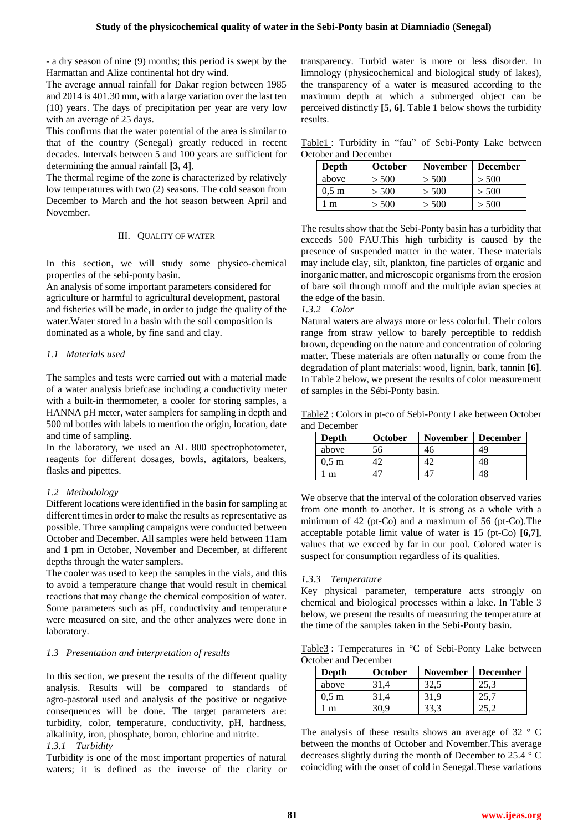- a dry season of nine (9) months; this period is swept by the Harmattan and Alize continental hot dry wind.

The average annual rainfall for Dakar region between 1985 and 2014 is 401.30 mm, with a large variation over the last ten (10) years. The days of precipitation per year are very low with an average of 25 days.

This confirms that the water potential of the area is similar to that of the country (Senegal) greatly reduced in recent decades. Intervals between 5 and 100 years are sufficient for determining the annual rainfall **[3, 4]**.

The thermal regime of the zone is characterized by relatively low temperatures with two (2) seasons. The cold season from December to March and the hot season between April and November.

## III. QUALITY OF WATER

In this section, we will study some physico-chemical properties of the sebi-ponty basin.

An analysis of some important parameters considered for agriculture or harmful to agricultural development, pastoral and fisheries will be made, in order to judge the quality of the water.Water stored in a basin with the soil composition is dominated as a whole, by fine sand and clay.

#### *1.1 Materials used*

The samples and tests were carried out with a material made of a water analysis briefcase including a conductivity meter with a built-in thermometer, a cooler for storing samples, a HANNA pH meter, water samplers for sampling in depth and 500 ml bottles with labels to mention the origin, location, date and time of sampling.

In the laboratory, we used an AL 800 spectrophotometer, reagents for different dosages, bowls, agitators, beakers, flasks and pipettes.

## *1.2 Methodology*

Different locations were identified in the basin for sampling at different times in order to make the results as representative as possible. Three sampling campaigns were conducted between October and December. All samples were held between 11am and 1 pm in October, November and December, at different depths through the water samplers.

The cooler was used to keep the samples in the vials, and this to avoid a temperature change that would result in chemical reactions that may change the chemical composition of water. Some parameters such as pH, conductivity and temperature were measured on site, and the other analyzes were done in laboratory.

## *1.3 Presentation and interpretation of results*

In this section, we present the results of the different quality analysis. Results will be compared to standards of agro-pastoral used and analysis of the positive or negative consequences will be done. The target parameters are: turbidity, color, temperature, conductivity, pH, hardness, alkalinity, iron, phosphate, boron, chlorine and nitrite.

## *1.3.1 Turbidity*

Turbidity is one of the most important properties of natural waters; it is defined as the inverse of the clarity or

transparency. Turbid water is more or less disorder. In limnology (physicochemical and biological study of lakes), the transparency of a water is measured according to the maximum depth at which a submerged object can be perceived distinctly **[5, 6]**. Table 1 below shows the turbidity results.

Table1 : Turbidity in "fau" of Sebi-Ponty Lake between October and December

| Depth            | <b>October</b> | <b>November</b> | <b>December</b> |
|------------------|----------------|-----------------|-----------------|
| above            | > 500          | > 500           | > 500           |
| 0.5 <sub>m</sub> | > 500          | > 500           | > 500           |
| l m              | > 500          | > 500           | > 500           |

The results show that the Sebi-Ponty basin has a turbidity that exceeds 500 FAU.This high turbidity is caused by the presence of suspended matter in the water. These materials may include clay, silt, plankton, fine particles of organic and inorganic matter, and microscopic organisms from the erosion of bare soil through runoff and the multiple avian species at the edge of the basin.

## *1.3.2 Color*

Natural waters are always more or less colorful. Their colors range from straw yellow to barely perceptible to reddish brown, depending on the nature and concentration of coloring matter. These materials are often naturally or come from the degradation of plant materials: wood, lignin, bark, tannin **[6]**. In Table 2 below, we present the results of color measurement of samples in the Sébi-Ponty basin.

Table2 : Colors in pt-co of Sebi-Ponty Lake between October and December

| Depth           | <b>October</b> | <b>November</b> | <b>December</b> |
|-----------------|----------------|-----------------|-----------------|
| above           | 56             | 46              | 49              |
| $0.5 \text{ m}$ |                |                 |                 |
| m               |                |                 |                 |

We observe that the interval of the coloration observed varies from one month to another. It is strong as a whole with a minimum of 42 (pt-Co) and a maximum of 56 (pt-Co).The acceptable potable limit value of water is 15 (pt-Co) **[6,7]**, values that we exceed by far in our pool. Colored water is suspect for consumption regardless of its qualities.

## *1.3.3 Temperature*

Key physical parameter, temperature acts strongly on chemical and biological processes within a lake. In Table 3 below, we present the results of measuring the temperature at the time of the samples taken in the Sebi-Ponty basin.

Table3 : Temperatures in °C of Sebi-Ponty Lake between October and December

| Depth           | <b>October</b> | <b>November</b> | <b>December</b> |
|-----------------|----------------|-----------------|-----------------|
| above           |                |                 | 25,3            |
| $0.5 \text{ m}$ |                |                 |                 |
| m               |                |                 |                 |

The analysis of these results shows an average of 32 ° C between the months of October and November.This average decreases slightly during the month of December to 25.4 ° C coinciding with the onset of cold in Senegal.These variations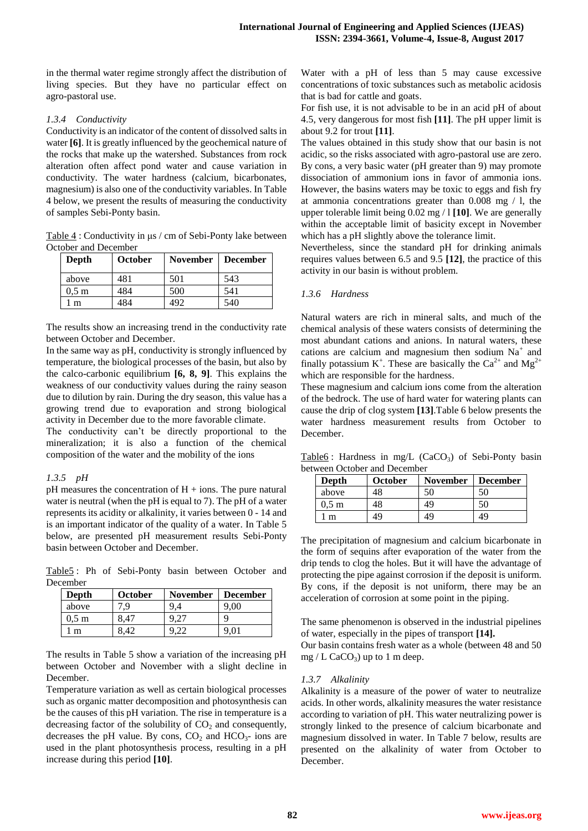in the thermal water regime strongly affect the distribution of living species. But they have no particular effect on agro-pastoral use.

# *1.3.4 Conductivity*

Conductivity is an indicator of the content of dissolved salts in water **[6]**. It is greatly influenced by the geochemical nature of the rocks that make up the watershed. Substances from rock alteration often affect pond water and cause variation in conductivity. The water hardness (calcium, bicarbonates, magnesium) is also one of the conductivity variables. In Table 4 below, we present the results of measuring the conductivity of samples Sebi-Ponty basin.

Table 4 : Conductivity in μs / cm of Sebi-Ponty lake between October and December

| Depth            | <b>October</b> | <b>November</b> | <b>December</b> |
|------------------|----------------|-----------------|-----------------|
| above            | 481            | 501             | 543             |
| 0.5 <sub>m</sub> | 484            | 500             | 541             |
| m                | 484            | 492             | 540             |

The results show an increasing trend in the conductivity rate between October and December.

In the same way as pH, conductivity is strongly influenced by temperature, the biological processes of the basin, but also by the calco-carbonic equilibrium **[6, 8, 9]**. This explains the weakness of our conductivity values during the rainy season due to dilution by rain. During the dry season, this value has a growing trend due to evaporation and strong biological activity in December due to the more favorable climate.

The conductivity can't be directly proportional to the mineralization; it is also a function of the chemical composition of the water and the mobility of the ions

# *1.3.5 pH*

 $pH$  measures the concentration of  $H + i$ ons. The pure natural water is neutral (when the pH is equal to 7). The pH of a water represents its acidity or alkalinity, it varies between 0 - 14 and is an important indicator of the quality of a water. In Table 5 below, are presented pH measurement results Sebi-Ponty basin between October and December.

Table5 : Ph of Sebi-Ponty basin between October and December

| Depth            | <b>October</b> | <b>November</b> | <b>December</b> |
|------------------|----------------|-----------------|-----------------|
| above            | .9             |                 | 9,00            |
| 0.5 <sub>m</sub> |                |                 | c               |
|                  |                |                 | 9,01            |

The results in Table 5 show a variation of the increasing pH between October and November with a slight decline in December.

Temperature variation as well as certain biological processes such as organic matter decomposition and photosynthesis can be the causes of this pH variation. The rise in temperature is a decreasing factor of the solubility of  $CO<sub>2</sub>$  and consequently, decreases the pH value. By cons,  $CO<sub>2</sub>$  and  $HCO<sub>3</sub>$ - ions are used in the plant photosynthesis process, resulting in a pH increase during this period **[10]**.

Water with a pH of less than 5 may cause excessive concentrations of toxic substances such as metabolic acidosis that is bad for cattle and goats.

For fish use, it is not advisable to be in an acid pH of about 4.5, very dangerous for most fish **[11]**. The pH upper limit is about 9.2 for trout **[11]**.

The values obtained in this study show that our basin is not acidic, so the risks associated with agro-pastoral use are zero. By cons, a very basic water (pH greater than 9) may promote dissociation of ammonium ions in favor of ammonia ions. However, the basins waters may be toxic to eggs and fish fry at ammonia concentrations greater than 0.008 mg / l, the upper tolerable limit being 0.02 mg / l **[10]**. We are generally within the acceptable limit of basicity except in November which has a pH slightly above the tolerance limit.

Nevertheless, since the standard pH for drinking animals requires values between 6.5 and 9.5 **[12]**, the practice of this activity in our basin is without problem.

## *1.3.6 Hardness*

Natural waters are rich in mineral salts, and much of the chemical analysis of these waters consists of determining the most abundant cations and anions. In natural waters, these cations are calcium and magnesium then sodium  $Na<sup>+</sup>$  and finally potassium K<sup>+</sup>. These are basically the Ca<sup>2+</sup> and Mg<sup>2+</sup> which are responsible for the hardness.

These magnesium and calcium ions come from the alteration of the bedrock. The use of hard water for watering plants can cause the drip of clog system **[13]**.Table 6 below presents the water hardness measurement results from October to December.

 $Table6$ : Hardness in mg/L (CaCO<sub>3</sub>) of Sebi-Ponty basin between October and December

| Depth            | <b>October</b> | <b>November</b> | <b>December</b> |
|------------------|----------------|-----------------|-----------------|
| above            | 48             | 50              | 50              |
| 0.5 <sub>m</sub> | 48             | 49              | 50              |
| l m              | 49             | 49              | 49              |

The precipitation of magnesium and calcium bicarbonate in the form of sequins after evaporation of the water from the drip tends to clog the holes. But it will have the advantage of protecting the pipe against corrosion if the deposit is uniform. By cons, if the deposit is not uniform, there may be an acceleration of corrosion at some point in the piping.

The same phenomenon is observed in the industrial pipelines of water, especially in the pipes of transport **[14].**

Our basin contains fresh water as a whole (between 48 and 50 mg / L CaCO<sub>3</sub>) up to 1 m deep.

# *1.3.7 Alkalinity*

Alkalinity is a measure of the power of water to neutralize acids. In other words, alkalinity measures the water resistance according to variation of pH. This water neutralizing power is strongly linked to the presence of calcium bicarbonate and magnesium dissolved in water. In Table 7 below, results are presented on the alkalinity of water from October to December.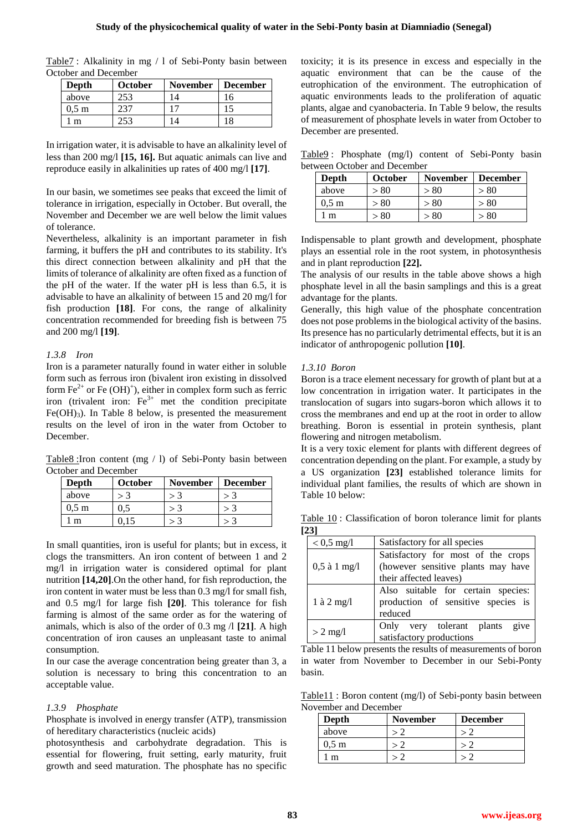| Table7: Alkalinity in mg / 1 of Sebi-Ponty basin between |  |  |  |  |
|----------------------------------------------------------|--|--|--|--|
| October and December                                     |  |  |  |  |

| Depth            | <b>October</b> | <b>November</b> | December |
|------------------|----------------|-----------------|----------|
| above            | 253            |                 | 16       |
| 0.5 <sub>m</sub> |                |                 |          |
| m                | 253            |                 | 18       |

In irrigation water, it is advisable to have an alkalinity level of less than 200 mg/l **[15, 16].** But aquatic animals can live and reproduce easily in alkalinities up rates of 400 mg/l **[17]**.

In our basin, we sometimes see peaks that exceed the limit of tolerance in irrigation, especially in October. But overall, the November and December we are well below the limit values of tolerance.

Nevertheless, alkalinity is an important parameter in fish farming, it buffers the pH and contributes to its stability. It's this direct connection between alkalinity and pH that the limits of tolerance of alkalinity are often fixed as a function of the pH of the water. If the water pH is less than 6.5, it is advisable to have an alkalinity of between 15 and 20 mg/l for fish production **[18]**. For cons, the range of alkalinity concentration recommended for breeding fish is between 75 and 200 mg/l **[19]**.

#### *1.3.8 Iron*

Iron is a parameter naturally found in water either in soluble form such as ferrous iron (bivalent iron existing in dissolved form  $\text{Fe}^{2+}$  or  $\text{Fe} (\text{OH})^+$ ), either in complex form such as ferric iron (trivalent iron:  $Fe<sup>3+</sup>$  met the condition precipitate  $Fe(OH)<sub>3</sub>$ . In Table 8 below, is presented the measurement results on the level of iron in the water from October to December.

Table8 :Iron content (mg / l) of Sebi-Ponty basin between October and December

| Depth           | <b>October</b> | <b>November</b> | <b>December</b> |
|-----------------|----------------|-----------------|-----------------|
| above           |                |                 |                 |
| $0.5 \text{ m}$ | 0.5            |                 |                 |
| m               |                |                 |                 |

In small quantities, iron is useful for plants; but in excess, it clogs the transmitters. An iron content of between 1 and 2 mg/l in irrigation water is considered optimal for plant nutrition **[14,20]**.On the other hand, for fish reproduction, the iron content in water must be less than 0.3 mg/l for small fish, and 0.5 mg/l for large fish **[20]**. This tolerance for fish farming is almost of the same order as for the watering of animals, which is also of the order of 0.3 mg /l **[21]**. A high concentration of iron causes an unpleasant taste to animal consumption.

In our case the average concentration being greater than 3, a solution is necessary to bring this concentration to an acceptable value.

#### *1.3.9 Phosphate*

Phosphate is involved in energy transfer (ATP), transmission of hereditary characteristics (nucleic acids)

photosynthesis and carbohydrate degradation. This is essential for flowering, fruit setting, early maturity, fruit growth and seed maturation. The phosphate has no specific toxicity; it is its presence in excess and especially in the aquatic environment that can be the cause of the eutrophication of the environment. The eutrophication of aquatic environments leads to the proliferation of aquatic plants, algae and cyanobacteria. In Table 9 below, the results of measurement of phosphate levels in water from October to December are presented.

Table9 : Phosphate (mg/l) content of Sebi-Ponty basin between October and December

| Depth            | October | <b>November</b> | <b>December</b> |
|------------------|---------|-----------------|-----------------|
| above            | > 80    | > 80            | > 80            |
| 0.5 <sub>m</sub> | > 80    | > 80            | > 80            |
| m                | - 80    | > 80            | > 80            |

Indispensable to plant growth and development, phosphate plays an essential role in the root system, in photosynthesis and in plant reproduction **[22].**

The analysis of our results in the table above shows a high phosphate level in all the basin samplings and this is a great advantage for the plants.

Generally, this high value of the phosphate concentration does not pose problems in the biological activity of the basins. Its presence has no particularly detrimental effects, but it is an indicator of anthropogenic pollution **[10]**.

#### *1.3.10 Boron*

Boron is a trace element necessary for growth of plant but at a low concentration in irrigation water. It participates in the translocation of sugars into sugars-boron which allows it to cross the membranes and end up at the root in order to allow breathing. Boron is essential in protein synthesis, plant flowering and nitrogen metabolism.

It is a very toxic element for plants with different degrees of concentration depending on the plant. For example, a study by a US organization **[23]** established tolerance limits for individual plant families, the results of which are shown in Table 10 below:

Table 10 : Classification of boron tolerance limit for plants **[23]**

| $< 0.5$ mg/l   | Satisfactory for all species                                                                       |  |  |  |
|----------------|----------------------------------------------------------------------------------------------------|--|--|--|
| $0,5$ à 1 mg/l | Satisfactory for most of the crops<br>(however sensitive plants may have<br>their affected leaves) |  |  |  |
| $1$ à $2$ mg/l | Also suitable for certain species:<br>production of sensitive species is<br>reduced                |  |  |  |
| $> 2$ mg/l     | give<br>Only very tolerant plants<br>satisfactory productions                                      |  |  |  |

Table 11 below presents the results of measurements of boron in water from November to December in our Sebi-Ponty basin.

Table11 : Boron content (mg/l) of Sebi-ponty basin between November and December

| Depth            | <b>November</b> | <b>December</b> |
|------------------|-----------------|-----------------|
| above            |                 |                 |
| 0.5 <sub>m</sub> |                 |                 |
|                  |                 |                 |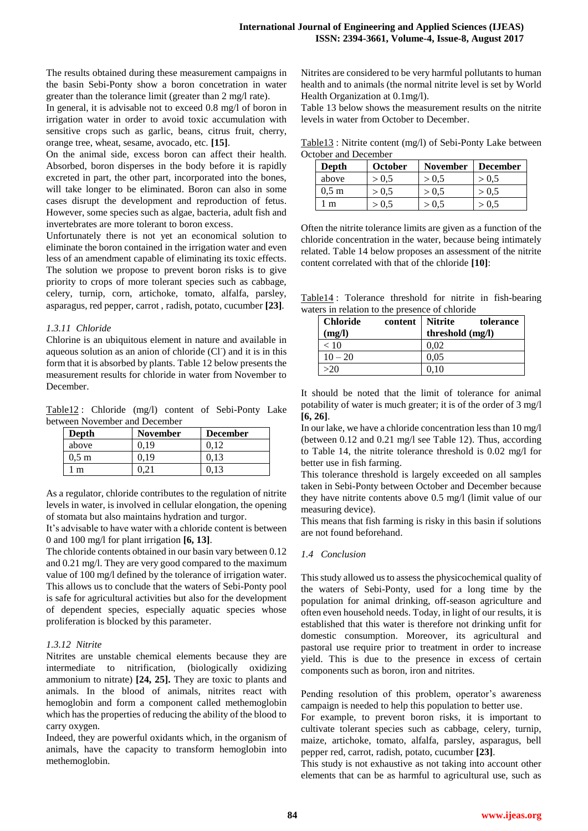The results obtained during these measurement campaigns in the basin Sebi-Ponty show a boron concetration in water greater than the tolerance limit (greater than 2 mg/l rate).

In general, it is advisable not to exceed 0.8 mg/l of boron in irrigation water in order to avoid toxic accumulation with sensitive crops such as garlic, beans, citrus fruit, cherry, orange tree, wheat, sesame, avocado, etc. **[15]**.

On the animal side, excess boron can affect their health. Absorbed, boron disperses in the body before it is rapidly excreted in part, the other part, incorporated into the bones, will take longer to be eliminated. Boron can also in some cases disrupt the development and reproduction of fetus. However, some species such as algae, bacteria, adult fish and invertebrates are more tolerant to boron excess.

Unfortunately there is not yet an economical solution to eliminate the boron contained in the irrigation water and even less of an amendment capable of eliminating its toxic effects. The solution we propose to prevent boron risks is to give priority to crops of more tolerant species such as cabbage, celery, turnip, corn, artichoke, tomato, alfalfa, parsley, asparagus, red pepper, carrot , radish, potato, cucumber **[23]**.

# *1.3.11 Chloride*

Chlorine is an ubiquitous element in nature and available in aqueous solution as an anion of chloride (CI<sup>-</sup>) and it is in this form that it is absorbed by plants. Table 12 below presents the measurement results for chloride in water from November to December.

Table12 : Chloride (mg/l) content of Sebi-Ponty Lake between November and December

| Depth           | <b>November</b> | <b>December</b> |
|-----------------|-----------------|-----------------|
| above           |                 |                 |
| $0.5 \text{ m}$ |                 |                 |
| m               |                 |                 |

As a regulator, chloride contributes to the regulation of nitrite levels in water, is involved in cellular elongation, the opening of stomata but also maintains hydration and turgor.

It's advisable to have water with a chloride content is between 0 and 100 mg/l for plant irrigation **[6, 13]**.

The chloride contents obtained in our basin vary between 0.12 and 0.21 mg/l. They are very good compared to the maximum value of 100 mg/l defined by the tolerance of irrigation water. This allows us to conclude that the waters of Sebi-Ponty pool is safe for agricultural activities but also for the development of dependent species, especially aquatic species whose proliferation is blocked by this parameter.

# *1.3.12 Nitrite*

Nitrites are unstable chemical elements because they are intermediate to nitrification, (biologically oxidizing ammonium to nitrate) **[24, 25].** They are toxic to plants and animals. In the blood of animals, nitrites react with hemoglobin and form a component called methemoglobin which has the properties of reducing the ability of the blood to carry oxygen.

Indeed, they are powerful oxidants which, in the organism of animals, have the capacity to transform hemoglobin into methemoglobin.

Nitrites are considered to be very harmful pollutants to human health and to animals (the normal nitrite level is set by World Health Organization at 0.1mg/l).

Table 13 below shows the measurement results on the nitrite levels in water from October to December.

Table13 : Nitrite content (mg/l) of Sebi-Ponty Lake between October and December

| Depth            | October | <b>November</b> | <b>December</b> |
|------------------|---------|-----------------|-----------------|
| above            | > 0.5   | > 0.5           | > 0.5           |
| 0.5 <sub>m</sub> | > 0.5   | > 0.5           | > 0.5           |
| ∣m               | > 0,5   | > 0.5           | > 0.5           |

Often the nitrite tolerance limits are given as a function of the chloride concentration in the water, because being intimately related. Table 14 below proposes an assessment of the nitrite content correlated with that of the chloride **[10]**:

Table14 : Tolerance threshold for nitrite in fish-bearing waters in relation to the presence of chloride

| <b>Chloride</b><br>(mg/l) | content   Nitrite | tolerance<br>threshold (mg/l) |
|---------------------------|-------------------|-------------------------------|
| < 10                      |                   | 0.02                          |
| $10 - 20$                 |                   | 0.05                          |
| >20                       |                   | 0.10                          |

It should be noted that the limit of tolerance for animal potability of water is much greater; it is of the order of 3 mg/l **[6, 26]**.

In our lake, we have a chloride concentration less than 10 mg/l (between 0.12 and 0.21 mg/l see Table 12). Thus, according to Table 14, the nitrite tolerance threshold is 0.02 mg/l for better use in fish farming.

This tolerance threshold is largely exceeded on all samples taken in Sebi-Ponty between October and December because they have nitrite contents above 0.5 mg/l (limit value of our measuring device).

This means that fish farming is risky in this basin if solutions are not found beforehand.

# *1.4 Conclusion*

This study allowed us to assess the physicochemical quality of the waters of Sebi-Ponty, used for a long time by the population for animal drinking, off-season agriculture and often even household needs. Today, in light of our results, it is established that this water is therefore not drinking unfit for domestic consumption. Moreover, its agricultural and pastoral use require prior to treatment in order to increase yield. This is due to the presence in excess of certain components such as boron, iron and nitrites.

Pending resolution of this problem, operator's awareness campaign is needed to help this population to better use.

For example, to prevent boron risks, it is important to cultivate tolerant species such as cabbage, celery, turnip, maize, artichoke, tomato, alfalfa, parsley, asparagus, bell pepper red, carrot, radish, potato, cucumber **[23]**.

This study is not exhaustive as not taking into account other elements that can be as harmful to agricultural use, such as